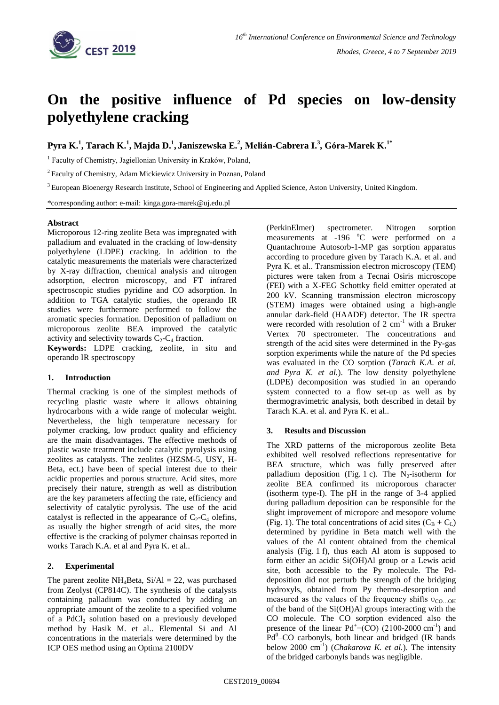

# **On the positive influence of Pd species on low-density polyethylene cracking**

**Pyra K.<sup>1</sup> , Tarach K.<sup>1</sup> , Majda D.<sup>1</sup> , Janiszewska E.<sup>2</sup> , Melián-Cabrera I.<sup>3</sup> , Góra-Marek K.1\***

<sup>1</sup> Faculty of Chemistry, Jagiellonian University in Kraków, Poland,

<sup>2</sup>Faculty of Chemistry, Adam Mickiewicz University in Poznan, Poland

<sup>3</sup> European Bioenergy Research Institute, School of Engineering and Applied Science, Aston University, United Kingdom.

\*corresponding author: e-mail: [kinga.gora-marek@uj.edu.pl](mailto:kinga.gora-marek@uj.edu.pl)

### **Abstract**

Microporous 12-ring zeolite Beta was impregnated with palladium and evaluated in the cracking of low-density polyethylene (LDPE) cracking. In addition to the catalytic measurements the materials were characterized by X-ray diffraction, chemical analysis and nitrogen adsorption, electron microscopy, and FT infrared spectroscopic studies pyridine and CO adsorption. In addition to TGA catalytic studies, the operando IR studies were furthermore performed to follow the aromatic species formation. Deposition of palladium on microporous zeolite BEA improved the catalytic activity and selectivity towards  $C_2-C_4$  fraction.

**Keywords:** LDPE cracking, zeolite, in situ and operando IR spectroscopy

## **1. Introduction**

Thermal cracking is one of the simplest methods of recycling plastic waste where it allows obtaining hydrocarbons with a wide range of molecular weight. Nevertheless, the high temperature necessary for polymer cracking, low product quality and efficiency are the main disadvantages. The effective methods of plastic waste treatment include catalytic pyrolysis using zeolites as catalysts. The zeolites (HZSM-5, USY, H-Beta, ect.) have been of special interest due to their acidic properties and porous structure. Acid sites, more precisely their nature, strength as well as distribution are the key parameters affecting the rate, efficiency and selectivity of catalytic pyrolysis. The use of the acid catalyst is reflected in the appearance of  $C_2-C_4$  olefins, as usually the higher strength of acid sites, the more effective is the cracking of polymer chainsas reported in works Tarach K.A. et al and Pyra K. et al..

## **2. Experimental**

The parent zeolite  $NH_4$ Beta,  $Si/Al = 22$ , was purchased from Zeolyst (CP814C). The synthesis of the catalysts containing palladium was conducted by adding an appropriate amount of the zeolite to a specified volume of a  $PdCl<sub>2</sub>$  solution based on a previously developed method by Hasik M. et al.. Elemental Si and Al concentrations in the materials were determined by the ICP OES method using an Optima 2100DV

(PerkinElmer) spectrometer. Nitrogen sorption measurements at  $-196$  °C were performed on a Quantachrome Autosorb-1-MP gas sorption apparatus according to procedure given by Tarach K.A. et al. and Pyra K. et al.. Transmission electron microscopy (TEM) pictures were taken from a Tecnai Osiris microscope (FEI) with a X-FEG Schottky field emitter operated at 200 kV. Scanning transmission electron microscopy (STEM) images were obtained using a high-angle annular dark-field (HAADF) detector. The IR spectra were recorded with resolution of  $2 \text{ cm}^{-1}$  with a Bruker Vertex 70 spectrometer. The concentrations and strength of the acid sites were determined in the Py-gas sorption experiments while the nature of the Pd species was evaluated in the CO sorption (*Tarach K.A. et al. and Pyra K. et al.*). The low density polyethylene (LDPE) decomposition was studied in an operando system connected to a flow set-up as well as by thermogravimetric analysis, both described in detail by Tarach K.A. et al. and Pyra K. et al..

## **3. Results and Discussion**

The XRD patterns of the microporous zeolite Beta exhibited well resolved reflections representative for BEA structure, which was fully preserved after palladium deposition (Fig. 1 c). The  $N_2$ -isotherm for zeolite BEA confirmed its microporous character (isotherm type-I). The pH in the range of 3-4 applied during palladium deposition can be responsible for the slight improvement of micropore and mesopore volume (Fig. 1). The total concentrations of acid sites  $(C_B + C_L)$ determined by pyridine in Beta match well with the values of the Al content obtained from the chemical analysis (Fig. 1 f), thus each Al atom is supposed to form either an acidic Si(OH)Al group or a Lewis acid site, both accessible to the Py molecule. The Pddeposition did not perturb the strength of the bridging hydroxyls, obtained from Py thermo-desorption and measured as the values of the frequency shifts  $v_{\text{CO...OH}}$ of the band of the Si(OH)Al groups interacting with the CO molecule. The CO sorption evidenced also the presence of the linear  $Pd^+$  (CO) (2100-2000 cm<sup>-1</sup>) and Pd<sup>0</sup>–CO carbonyls, both linear and bridged (IR bands below 2000 cm<sup>-1</sup>) (*Chakarova K. et al.*). The intensity of the bridged carbonyls bands was negligible.